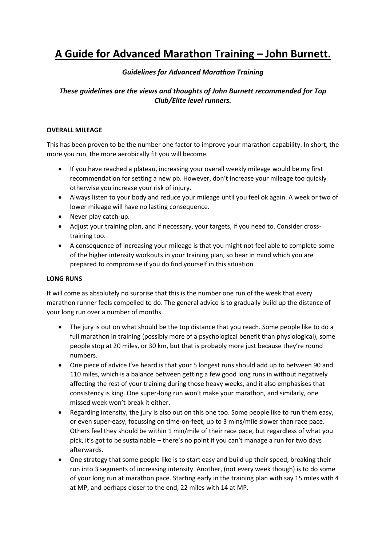# **A Guide for Advanced Marathon Training – John Burnett.**

# *Guidelines for Advanced Marathon Training*

# *These guidelines are the views and thoughts of John Burnett recommended for Top Club/Elite level runners.*

## **OVERALL MILEAGE**

This has been proven to be the number one factor to improve your marathon capability. In short, the more you run, the more aerobically fit you will become.

- If you have reached a plateau, increasing your overall weekly mileage would be my first recommendation for setting a new pb. However, don't increase your mileage too quickly otherwise you increase your risk of injury.
- Always listen to your body and reduce your mileage until you feel ok again. A week or two of lower mileage will have no lasting consequence.
- Never play catch-up.
- Adjust your training plan, and if necessary, your targets, if you need to. Consider crosstraining too.
- A consequence of increasing your mileage is that you might not feel able to complete some of the higher intensity workouts in your training plan, so bear in mind which you are prepared to compromise if you do find yourself in this situation

#### **LONG RUNS**

It will come as absolutely no surprise that this is the number one run of the week that every marathon runner feels compelled to do. The general advice is to gradually build up the distance of your long run over a number of months.

- The jury is out on what should be the top distance that you reach. Some people like to do a full marathon in training (possibly more of a psychological benefit than physiological), some people stop at 20 miles, or 30 km, but that is probably more just because they're round numbers.
- One piece of advice I've heard is that your 5 longest runs should add up to between 90 and 110 miles, which is a balance between getting a few good long runs in without negatively affecting the rest of your training during those heavy weeks, and it also emphasises that consistency is king. One super-long run won't make your marathon, and similarly, one missed week won't break it either.
- Regarding intensity, the jury is also out on this one too. Some people like to run them easy, or even super-easy, focussing on time-on-feet, up to 3 mins/mile slower than race pace. Others feel they should be within 1 min/mile of their race pace, but regardless of what you pick, it's got to be sustainable – there's no point if you can't manage a run for two days afterwards.
- One strategy that some people like is to start easy and build up their speed, breaking their run into 3 segments of increasing intensity. Another, (not every week though) is to do some of your long run at marathon pace. Starting early in the training plan with say 15 miles with 4 at MP, and perhaps closer to the end, 22 miles with 14 at MP.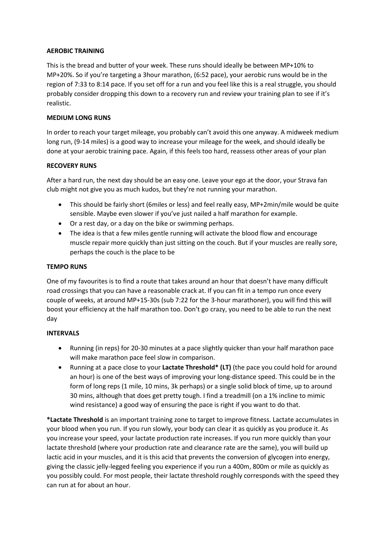### **AEROBIC TRAINING**

This is the bread and butter of your week. These runs should ideally be between MP+10% to MP+20%. So if you're targeting a 3hour marathon, (6:52 pace), your aerobic runs would be in the region of 7:33 to 8:14 pace. If you set off for a run and you feel like this is a real struggle, you should probably consider dropping this down to a recovery run and review your training plan to see if it's realistic.

### **MEDIUM LONG RUNS**

In order to reach your target mileage, you probably can't avoid this one anyway. A midweek medium long run, (9-14 miles) is a good way to increase your mileage for the week, and should ideally be done at your aerobic training pace. Again, if this feels too hard, reassess other areas of your plan

## **RECOVERY RUNS**

After a hard run, the next day should be an easy one. Leave your ego at the door, your Strava fan club might not give you as much kudos, but they're not running your marathon.

- This should be fairly short (6miles or less) and feel really easy, MP+2min/mile would be quite sensible. Maybe even slower if you've just nailed a half marathon for example.
- Or a rest day, or a day on the bike or swimming perhaps.
- The idea is that a few miles gentle running will activate the blood flow and encourage muscle repair more quickly than just sitting on the couch. But if your muscles are really sore, perhaps the couch is the place to be

### **TEMPO RUNS**

One of my favourites is to find a route that takes around an hour that doesn't have many difficult road crossings that you can have a reasonable crack at. If you can fit in a tempo run once every couple of weeks, at around MP+15-30s (sub 7:22 for the 3-hour marathoner), you will find this will boost your efficiency at the half marathon too. Don't go crazy, you need to be able to run the next day

#### **INTERVALS**

- Running (in reps) for 20-30 minutes at a pace slightly quicker than your half marathon pace will make marathon pace feel slow in comparison.
- Running at a pace close to your **Lactate Threshold\* (LT)** (the pace you could hold for around an hour) is one of the best ways of improving your long-distance speed. This could be in the form of long reps (1 mile, 10 mins, 3k perhaps) or a single solid block of time, up to around 30 mins, although that does get pretty tough. I find a treadmill (on a 1% incline to mimic wind resistance) a good way of ensuring the pace is right if you want to do that.

**\*Lactate Threshold** is an important training zone to target to improve fitness. Lactate accumulates in your blood when you run. If you run slowly, your body can clear it as quickly as you produce it. As you increase your speed, your lactate production rate increases. If you run more quickly than your lactate threshold (where your production rate and clearance rate are the same), you will build up lactic acid in your muscles, and it is this acid that prevents the conversion of glycogen into energy, giving the classic jelly-legged feeling you experience if you run a 400m, 800m or mile as quickly as you possibly could. For most people, their lactate threshold roughly corresponds with the speed they can run at for about an hour.